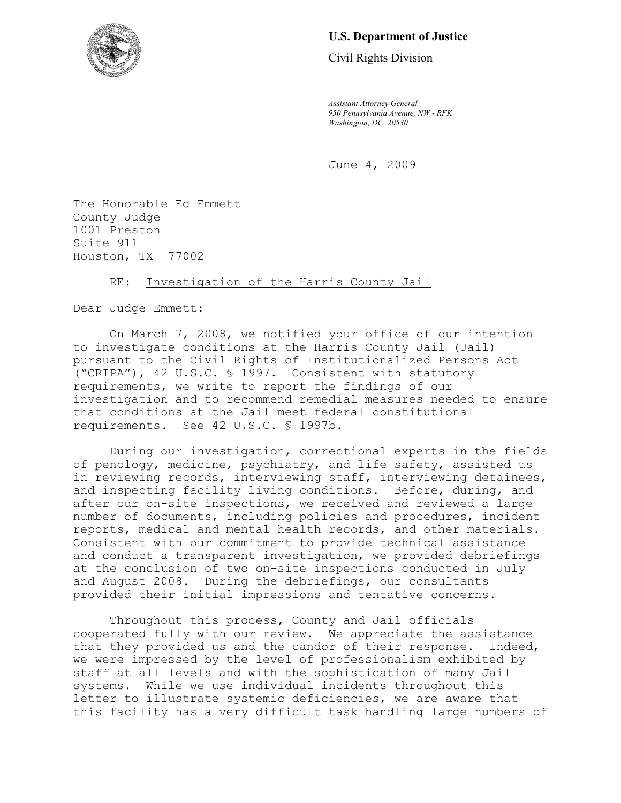

# **U.S. Department of Justice**

Civil Rights Division

*Assistant Attorney General 950 Pennsylvania Avenue, NW - RFK Washington, DC 20530* 

June 4, 2009

The Honorable Ed Emmett County Judge 1001 Preston Suite 911 Houston, TX 77002

## RE: Investigation of the Harris County Jail

Dear Judge Emmett:

On March 7, 2008, we notified your office of our intention to investigate conditions at the Harris County Jail (Jail) pursuant to the Civil Rights of Institutionalized Persons Act ("CRIPA"), 42 U.S.C. § 1997. Consistent with statutory requirements, we write to report the findings of our investigation and to recommend remedial measures needed to ensure that conditions at the Jail meet federal constitutional requirements. See 42 U.S.C. § 1997b.

During our investigation, correctional experts in the fields of penology, medicine, psychiatry, and life safety, assisted us in reviewing records, interviewing staff, interviewing detainees, and inspecting facility living conditions. Before, during, and after our on-site inspections, we received and reviewed a large number of documents, including policies and procedures, incident reports, medical and mental health records, and other materials. Consistent with our commitment to provide technical assistance and conduct a transparent investigation, we provided debriefings at the conclusion of two on–site inspections conducted in July and August 2008. During the debriefings, our consultants provided their initial impressions and tentative concerns.

Throughout this process, County and Jail officials cooperated fully with our review. We appreciate the assistance that they provided us and the candor of their response. Indeed, we were impressed by the level of professionalism exhibited by staff at all levels and with the sophistication of many Jail systems. While we use individual incidents throughout this letter to illustrate systemic deficiencies, we are aware that this facility has a very difficult task handling large numbers of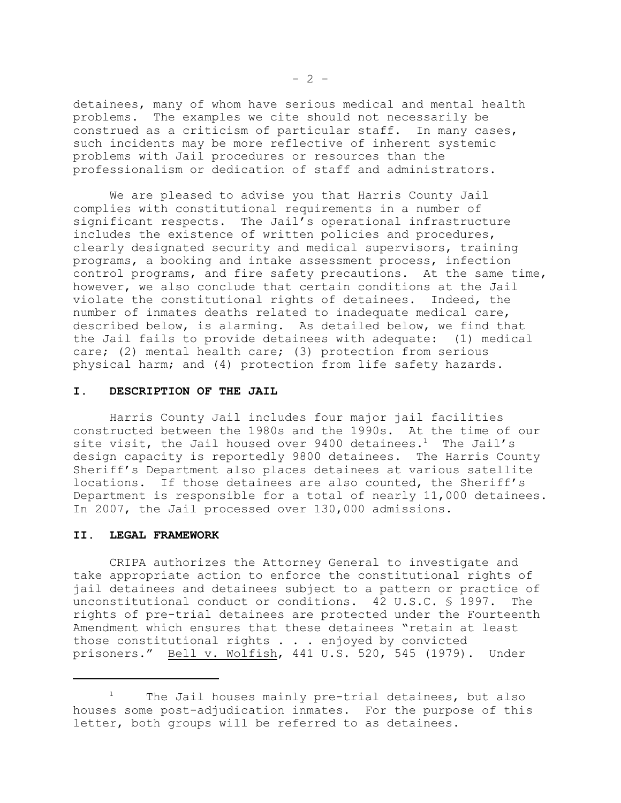detainees, many of whom have serious medical and mental health problems. The examples we cite should not necessarily be construed as a criticism of particular staff. In many cases, such incidents may be more reflective of inherent systemic problems with Jail procedures or resources than the professionalism or dedication of staff and administrators.

We are pleased to advise you that Harris County Jail complies with constitutional requirements in a number of significant respects. The Jail's operational infrastructure includes the existence of written policies and procedures, clearly designated security and medical supervisors, training programs, a booking and intake assessment process, infection control programs, and fire safety precautions. At the same time, however, we also conclude that certain conditions at the Jail violate the constitutional rights of detainees. Indeed, the number of inmates deaths related to inadequate medical care, described below, is alarming. As detailed below, we find that the Jail fails to provide detainees with adequate: (1) medical care; (2) mental health care; (3) protection from serious physical harm; and (4) protection from life safety hazards.

## **I. DESCRIPTION OF THE JAIL**

Harris County Jail includes four major jail facilities constructed between the 1980s and the 1990s. At the time of our site visit, the Jail housed over  $9400$  detainees.<sup>1</sup> The Jail's design capacity is reportedly 9800 detainees. The Harris County Sheriff's Department also places detainees at various satellite locations. If those detainees are also counted, the Sheriff's Department is responsible for a total of nearly 11,000 detainees. In 2007, the Jail processed over 130,000 admissions.

#### **II. LEGAL FRAMEWORK**

CRIPA authorizes the Attorney General to investigate and take appropriate action to enforce the constitutional rights of jail detainees and detainees subject to a pattern or practice of unconstitutional conduct or conditions. 42 U.S.C. § 1997. The rights of pre-trial detainees are protected under the Fourteenth Amendment which ensures that these detainees "retain at least those constitutional rights . . . enjoyed by convicted prisoners." Bell v. Wolfish, 441 U.S. 520, 545 (1979). Under

<sup>1</sup>  The Jail houses mainly pre-trial detainees, but also houses some post-adjudication inmates. For the purpose of this letter, both groups will be referred to as detainees.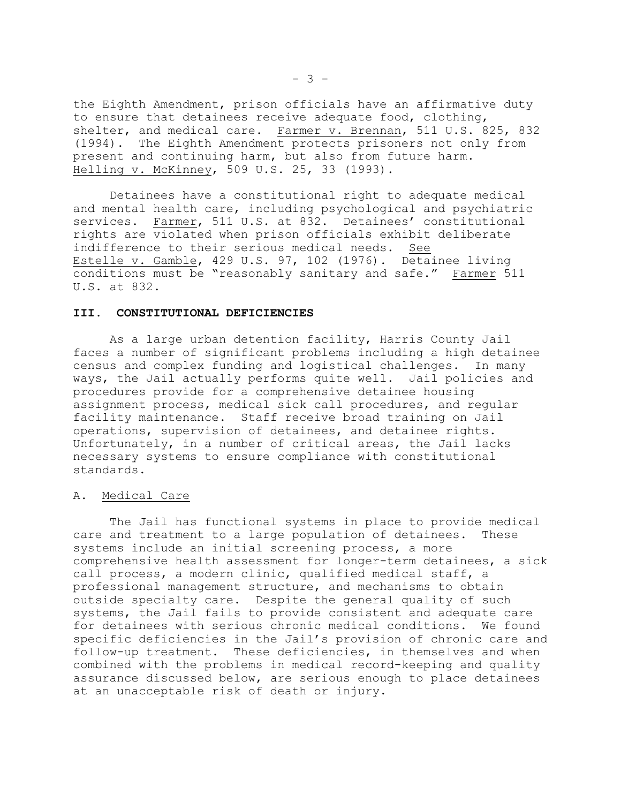the Eighth Amendment, prison officials have an affirmative duty to ensure that detainees receive adequate food, clothing, shelter, and medical care. Farmer v. Brennan, 511 U.S. 825, 832 (1994). The Eighth Amendment protects prisoners not only from present and continuing harm, but also from future harm. Helling v. McKinney, 509 U.S. 25, 33 (1993).

Detainees have a constitutional right to adequate medical and mental health care, including psychological and psychiatric services. Farmer, 511 U.S. at 832. Detainees' constitutional rights are violated when prison officials exhibit deliberate indifference to their serious medical needs. See Estelle v. Gamble, 429 U.S. 97, 102 (1976). Detainee living conditions must be "reasonably sanitary and safe." Farmer 511 U.S. at 832.

#### **III. CONSTITUTIONAL DEFICIENCIES**

As a large urban detention facility, Harris County Jail faces a number of significant problems including a high detainee census and complex funding and logistical challenges. In many ways, the Jail actually performs quite well. Jail policies and procedures provide for a comprehensive detainee housing assignment process, medical sick call procedures, and regular facility maintenance. Staff receive broad training on Jail operations, supervision of detainees, and detainee rights. Unfortunately, in a number of critical areas, the Jail lacks necessary systems to ensure compliance with constitutional standards.

#### A. Medical Care

The Jail has functional systems in place to provide medical care and treatment to a large population of detainees. These systems include an initial screening process, a more comprehensive health assessment for longer-term detainees, a sick call process, a modern clinic, qualified medical staff, a professional management structure, and mechanisms to obtain outside specialty care. Despite the general quality of such systems, the Jail fails to provide consistent and adequate care for detainees with serious chronic medical conditions. We found specific deficiencies in the Jail's provision of chronic care and follow-up treatment. These deficiencies, in themselves and when combined with the problems in medical record-keeping and quality assurance discussed below, are serious enough to place detainees at an unacceptable risk of death or injury.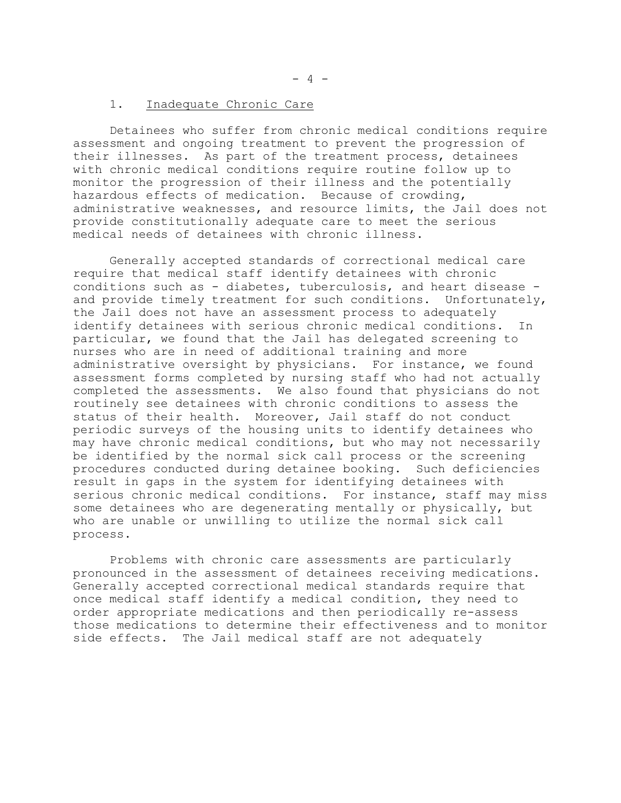Detainees who suffer from chronic medical conditions require assessment and ongoing treatment to prevent the progression of their illnesses. As part of the treatment process, detainees with chronic medical conditions require routine follow up to monitor the progression of their illness and the potentially hazardous effects of medication. Because of crowding, administrative weaknesses, and resource limits, the Jail does not provide constitutionally adequate care to meet the serious medical needs of detainees with chronic illness.

Generally accepted standards of correctional medical care require that medical staff identify detainees with chronic conditions such as - diabetes, tuberculosis, and heart disease and provide timely treatment for such conditions. Unfortunately, the Jail does not have an assessment process to adequately identify detainees with serious chronic medical conditions. In particular, we found that the Jail has delegated screening to nurses who are in need of additional training and more administrative oversight by physicians. For instance, we found assessment forms completed by nursing staff who had not actually completed the assessments. We also found that physicians do not routinely see detainees with chronic conditions to assess the status of their health. Moreover, Jail staff do not conduct periodic surveys of the housing units to identify detainees who may have chronic medical conditions, but who may not necessarily be identified by the normal sick call process or the screening procedures conducted during detainee booking. Such deficiencies result in gaps in the system for identifying detainees with serious chronic medical conditions. For instance, staff may miss some detainees who are degenerating mentally or physically, but who are unable or unwilling to utilize the normal sick call process.

Problems with chronic care assessments are particularly pronounced in the assessment of detainees receiving medications. Generally accepted correctional medical standards require that once medical staff identify a medical condition, they need to order appropriate medications and then periodically re-assess those medications to determine their effectiveness and to monitor side effects. The Jail medical staff are not adequately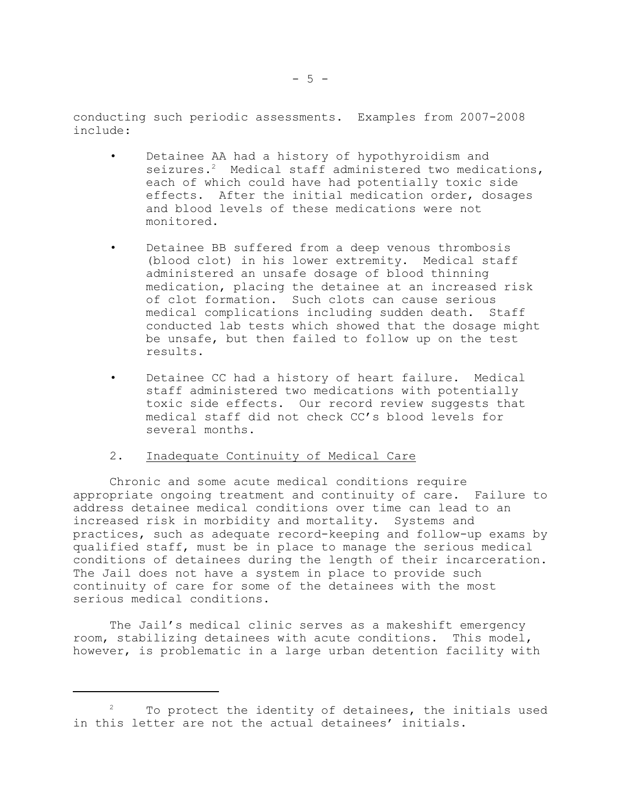conducting such periodic assessments. Examples from 2007-2008 include:

- • Detainee AA had a history of hypothyroidism and seizures.<sup>2</sup> Medical staff administered two medications, each of which could have had potentially toxic side effects. After the initial medication order, dosages and blood levels of these medications were not monitored.
- • Detainee BB suffered from a deep venous thrombosis (blood clot) in his lower extremity. Medical staff administered an unsafe dosage of blood thinning medication, placing the detainee at an increased risk of clot formation. Such clots can cause serious medical complications including sudden death. Staff conducted lab tests which showed that the dosage might be unsafe, but then failed to follow up on the test results.
- • Detainee CC had a history of heart failure. Medical staff administered two medications with potentially toxic side effects. Our record review suggests that medical staff did not check CC's blood levels for several months.

## 2. Inadequate Continuity of Medical Care

Chronic and some acute medical conditions require appropriate ongoing treatment and continuity of care. Failure to address detainee medical conditions over time can lead to an increased risk in morbidity and mortality. Systems and practices, such as adequate record-keeping and follow-up exams by qualified staff, must be in place to manage the serious medical conditions of detainees during the length of their incarceration. The Jail does not have a system in place to provide such continuity of care for some of the detainees with the most serious medical conditions.

The Jail's medical clinic serves as a makeshift emergency room, stabilizing detainees with acute conditions. This model, however, is problematic in a large urban detention facility with

<sup>2</sup>  To protect the identity of detainees, the initials used in this letter are not the actual detainees' initials.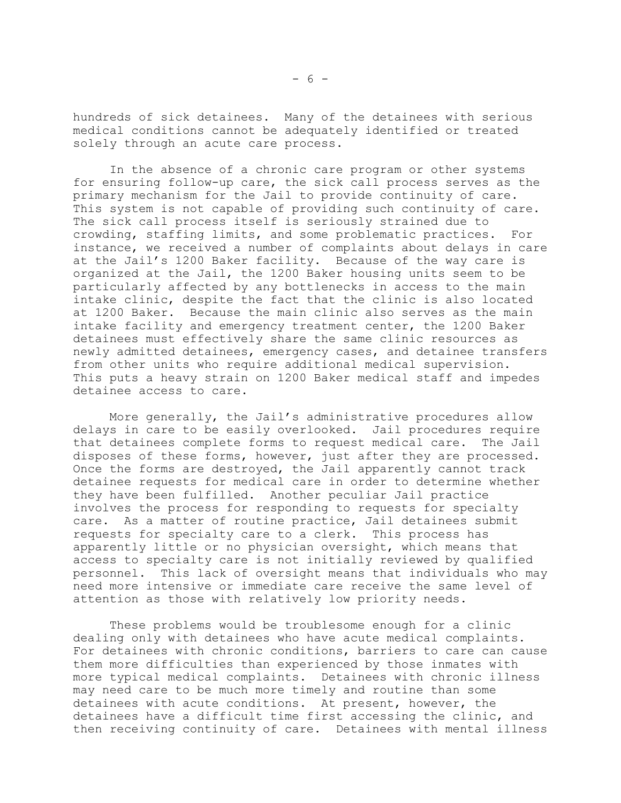hundreds of sick detainees. Many of the detainees with serious medical conditions cannot be adequately identified or treated solely through an acute care process.

In the absence of a chronic care program or other systems for ensuring follow-up care, the sick call process serves as the primary mechanism for the Jail to provide continuity of care. This system is not capable of providing such continuity of care. The sick call process itself is seriously strained due to crowding, staffing limits, and some problematic practices. For instance, we received a number of complaints about delays in care at the Jail's 1200 Baker facility. Because of the way care is organized at the Jail, the 1200 Baker housing units seem to be particularly affected by any bottlenecks in access to the main intake clinic, despite the fact that the clinic is also located at 1200 Baker. Because the main clinic also serves as the main intake facility and emergency treatment center, the 1200 Baker detainees must effectively share the same clinic resources as newly admitted detainees, emergency cases, and detainee transfers from other units who require additional medical supervision. This puts a heavy strain on 1200 Baker medical staff and impedes detainee access to care.

More generally, the Jail's administrative procedures allow delays in care to be easily overlooked. Jail procedures require that detainees complete forms to request medical care. The Jail disposes of these forms, however, just after they are processed. Once the forms are destroyed, the Jail apparently cannot track detainee requests for medical care in order to determine whether they have been fulfilled. Another peculiar Jail practice involves the process for responding to requests for specialty care. As a matter of routine practice, Jail detainees submit requests for specialty care to a clerk. This process has apparently little or no physician oversight, which means that access to specialty care is not initially reviewed by qualified personnel. This lack of oversight means that individuals who may need more intensive or immediate care receive the same level of attention as those with relatively low priority needs.

These problems would be troublesome enough for a clinic dealing only with detainees who have acute medical complaints. For detainees with chronic conditions, barriers to care can cause them more difficulties than experienced by those inmates with more typical medical complaints. Detainees with chronic illness may need care to be much more timely and routine than some detainees with acute conditions. At present, however, the detainees have a difficult time first accessing the clinic, and then receiving continuity of care. Detainees with mental illness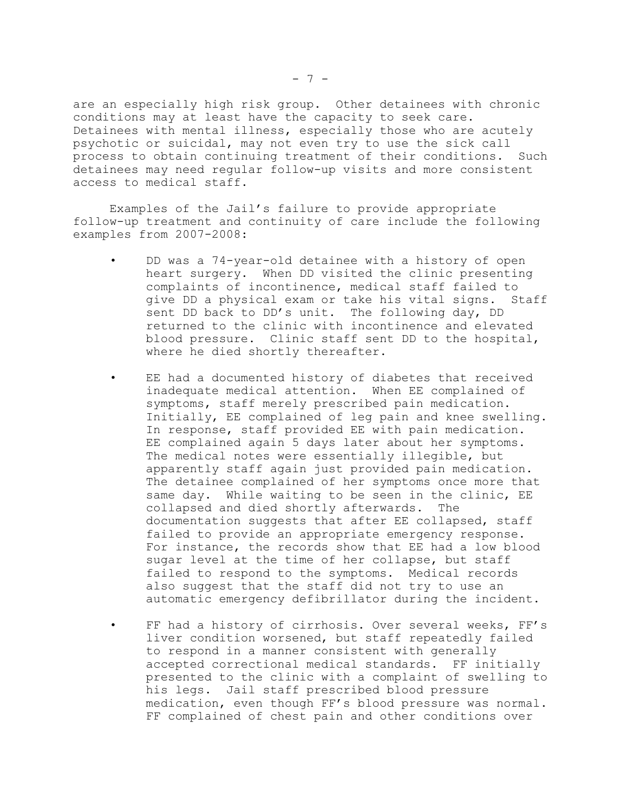are an especially high risk group. Other detainees with chronic conditions may at least have the capacity to seek care. Detainees with mental illness, especially those who are acutely psychotic or suicidal, may not even try to use the sick call process to obtain continuing treatment of their conditions. Such detainees may need regular follow-up visits and more consistent access to medical staff.

Examples of the Jail's failure to provide appropriate follow-up treatment and continuity of care include the following examples from 2007-2008:

- • DD was a 74-year-old detainee with a history of open heart surgery. When DD visited the clinic presenting complaints of incontinence, medical staff failed to give DD a physical exam or take his vital signs. Staff sent DD back to DD's unit. The following day, DD returned to the clinic with incontinence and elevated blood pressure. Clinic staff sent DD to the hospital, where he died shortly thereafter.
- • EE had a documented history of diabetes that received inadequate medical attention. When EE complained of symptoms, staff merely prescribed pain medication. Initially, EE complained of leg pain and knee swelling. In response, staff provided EE with pain medication. EE complained again 5 days later about her symptoms. The medical notes were essentially illegible, but apparently staff again just provided pain medication. The detainee complained of her symptoms once more that same day. While waiting to be seen in the clinic, EE collapsed and died shortly afterwards. The documentation suggests that after EE collapsed, staff failed to provide an appropriate emergency response. For instance, the records show that EE had a low blood sugar level at the time of her collapse, but staff failed to respond to the symptoms. Medical records also suggest that the staff did not try to use an automatic emergency defibrillator during the incident.
- • FF had a history of cirrhosis. Over several weeks, FF's liver condition worsened, but staff repeatedly failed to respond in a manner consistent with generally accepted correctional medical standards. FF initially presented to the clinic with a complaint of swelling to his legs. Jail staff prescribed blood pressure medication, even though FF's blood pressure was normal. FF complained of chest pain and other conditions over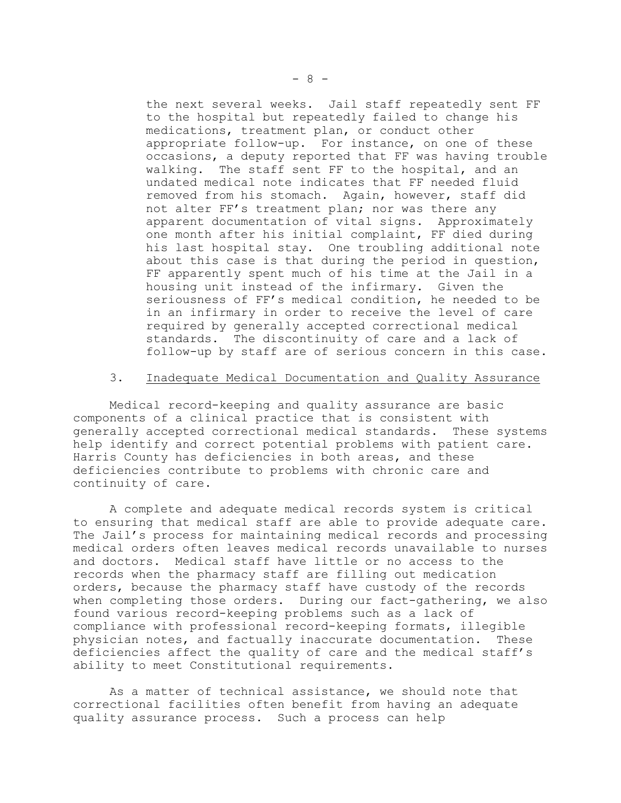the next several weeks. Jail staff repeatedly sent FF to the hospital but repeatedly failed to change his medications, treatment plan, or conduct other appropriate follow-up. For instance, on one of these occasions, a deputy reported that FF was having trouble walking. The staff sent FF to the hospital, and an undated medical note indicates that FF needed fluid removed from his stomach. Again, however, staff did not alter FF's treatment plan; nor was there any apparent documentation of vital signs. Approximately one month after his initial complaint, FF died during his last hospital stay. One troubling additional note about this case is that during the period in question, FF apparently spent much of his time at the Jail in a housing unit instead of the infirmary. Given the seriousness of FF's medical condition, he needed to be in an infirmary in order to receive the level of care required by generally accepted correctional medical standards. The discontinuity of care and a lack of follow-up by staff are of serious concern in this case.

#### 3. Inadequate Medical Documentation and Quality Assurance

Medical record-keeping and quality assurance are basic components of a clinical practice that is consistent with generally accepted correctional medical standards. These systems help identify and correct potential problems with patient care. Harris County has deficiencies in both areas, and these deficiencies contribute to problems with chronic care and continuity of care.

A complete and adequate medical records system is critical to ensuring that medical staff are able to provide adequate care. The Jail's process for maintaining medical records and processing medical orders often leaves medical records unavailable to nurses and doctors. Medical staff have little or no access to the records when the pharmacy staff are filling out medication orders, because the pharmacy staff have custody of the records when completing those orders. During our fact-gathering, we also found various record-keeping problems such as a lack of compliance with professional record-keeping formats, illegible physician notes, and factually inaccurate documentation. These deficiencies affect the quality of care and the medical staff's ability to meet Constitutional requirements.

As a matter of technical assistance, we should note that correctional facilities often benefit from having an adequate quality assurance process. Such a process can help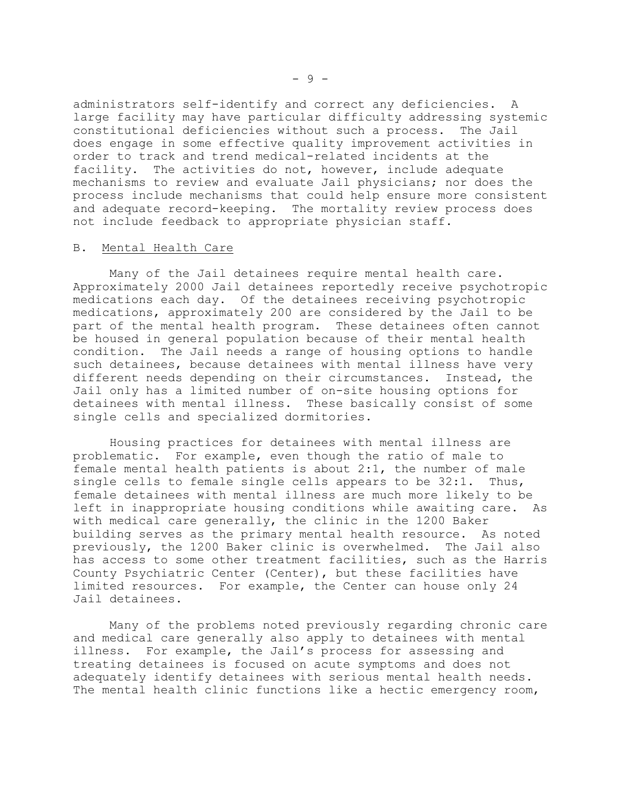administrators self-identify and correct any deficiencies. A large facility may have particular difficulty addressing systemic constitutional deficiencies without such a process. The Jail does engage in some effective quality improvement activities in order to track and trend medical-related incidents at the facility. The activities do not, however, include adequate mechanisms to review and evaluate Jail physicians; nor does the process include mechanisms that could help ensure more consistent and adequate record-keeping. The mortality review process does not include feedback to appropriate physician staff.

#### B. Mental Health Care

Many of the Jail detainees require mental health care. Approximately 2000 Jail detainees reportedly receive psychotropic medications each day. Of the detainees receiving psychotropic medications, approximately 200 are considered by the Jail to be part of the mental health program. These detainees often cannot be housed in general population because of their mental health condition. The Jail needs a range of housing options to handle such detainees, because detainees with mental illness have very different needs depending on their circumstances. Instead, the Jail only has a limited number of on-site housing options for detainees with mental illness. These basically consist of some single cells and specialized dormitories.

Housing practices for detainees with mental illness are problematic. For example, even though the ratio of male to female mental health patients is about 2:1, the number of male single cells to female single cells appears to be 32:1. Thus, female detainees with mental illness are much more likely to be left in inappropriate housing conditions while awaiting care. As with medical care generally, the clinic in the 1200 Baker building serves as the primary mental health resource. As noted previously, the 1200 Baker clinic is overwhelmed. The Jail also has access to some other treatment facilities, such as the Harris County Psychiatric Center (Center), but these facilities have limited resources. For example, the Center can house only 24 Jail detainees.

Many of the problems noted previously regarding chronic care and medical care generally also apply to detainees with mental illness. For example, the Jail's process for assessing and treating detainees is focused on acute symptoms and does not adequately identify detainees with serious mental health needs. The mental health clinic functions like a hectic emergency room,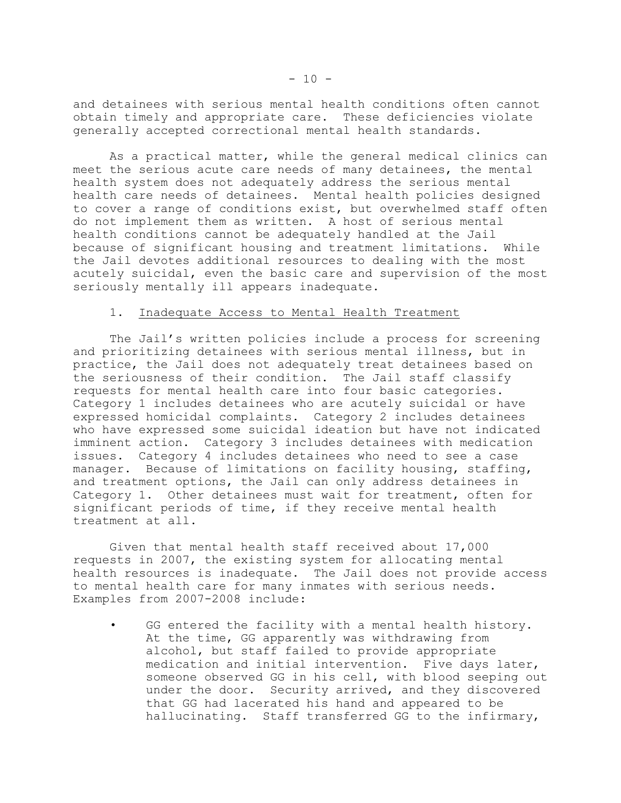and detainees with serious mental health conditions often cannot obtain timely and appropriate care. These deficiencies violate generally accepted correctional mental health standards.

As a practical matter, while the general medical clinics can meet the serious acute care needs of many detainees, the mental health system does not adequately address the serious mental health care needs of detainees. Mental health policies designed to cover a range of conditions exist, but overwhelmed staff often do not implement them as written. A host of serious mental health conditions cannot be adequately handled at the Jail because of significant housing and treatment limitations. While the Jail devotes additional resources to dealing with the most acutely suicidal, even the basic care and supervision of the most seriously mentally ill appears inadequate.

### 1. Inadequate Access to Mental Health Treatment

The Jail's written policies include a process for screening and prioritizing detainees with serious mental illness, but in practice, the Jail does not adequately treat detainees based on the seriousness of their condition. The Jail staff classify requests for mental health care into four basic categories. Category 1 includes detainees who are acutely suicidal or have expressed homicidal complaints. Category 2 includes detainees who have expressed some suicidal ideation but have not indicated imminent action. Category 3 includes detainees with medication issues. Category 4 includes detainees who need to see a case manager. Because of limitations on facility housing, staffing, and treatment options, the Jail can only address detainees in Category 1. Other detainees must wait for treatment, often for significant periods of time, if they receive mental health treatment at all.

Given that mental health staff received about 17,000 requests in 2007, the existing system for allocating mental health resources is inadequate. The Jail does not provide access to mental health care for many inmates with serious needs. Examples from 2007-2008 include:

GG entered the facility with a mental health history. At the time, GG apparently was withdrawing from alcohol, but staff failed to provide appropriate medication and initial intervention. Five days later, someone observed GG in his cell, with blood seeping out under the door. Security arrived, and they discovered that GG had lacerated his hand and appeared to be hallucinating. Staff transferred GG to the infirmary,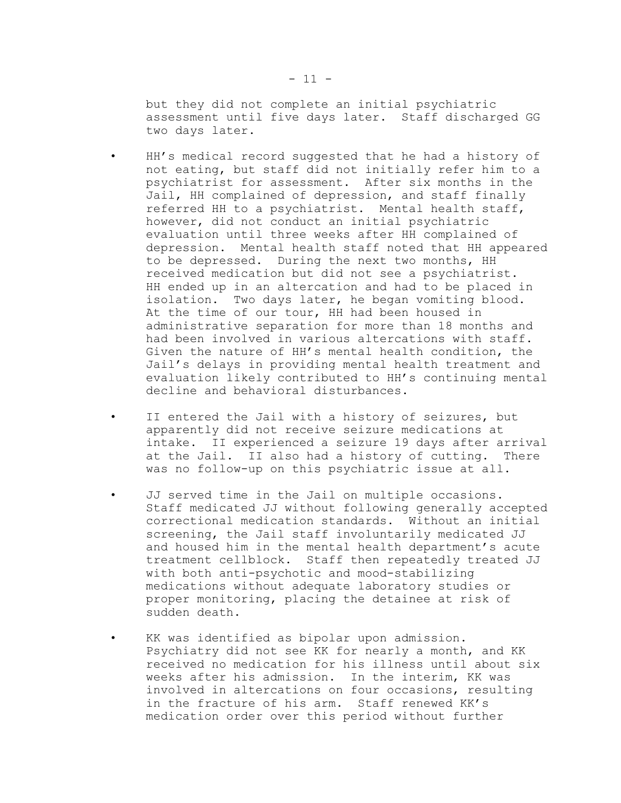but they did not complete an initial psychiatric assessment until five days later. Staff discharged GG two days later.

- • HH's medical record suggested that he had a history of not eating, but staff did not initially refer him to a psychiatrist for assessment. After six months in the Jail, HH complained of depression, and staff finally referred HH to a psychiatrist. Mental health staff, however, did not conduct an initial psychiatric evaluation until three weeks after HH complained of depression. Mental health staff noted that HH appeared to be depressed. During the next two months, HH received medication but did not see a psychiatrist. HH ended up in an altercation and had to be placed in isolation. Two days later, he began vomiting blood. At the time of our tour, HH had been housed in administrative separation for more than 18 months and had been involved in various altercations with staff. Given the nature of HH's mental health condition, the Jail's delays in providing mental health treatment and evaluation likely contributed to HH's continuing mental decline and behavioral disturbances.
- • II entered the Jail with a history of seizures, but apparently did not receive seizure medications at intake. II experienced a seizure 19 days after arrival at the Jail. II also had a history of cutting. There was no follow-up on this psychiatric issue at all.
- JJ served time in the Jail on multiple occasions. Staff medicated JJ without following generally accepted correctional medication standards. Without an initial screening, the Jail staff involuntarily medicated JJ and housed him in the mental health department's acute treatment cellblock. Staff then repeatedly treated JJ with both anti-psychotic and mood-stabilizing medications without adequate laboratory studies or proper monitoring, placing the detainee at risk of sudden death.
- • KK was identified as bipolar upon admission. Psychiatry did not see KK for nearly a month, and KK received no medication for his illness until about six weeks after his admission. In the interim, KK was involved in altercations on four occasions, resulting in the fracture of his arm. Staff renewed KK's medication order over this period without further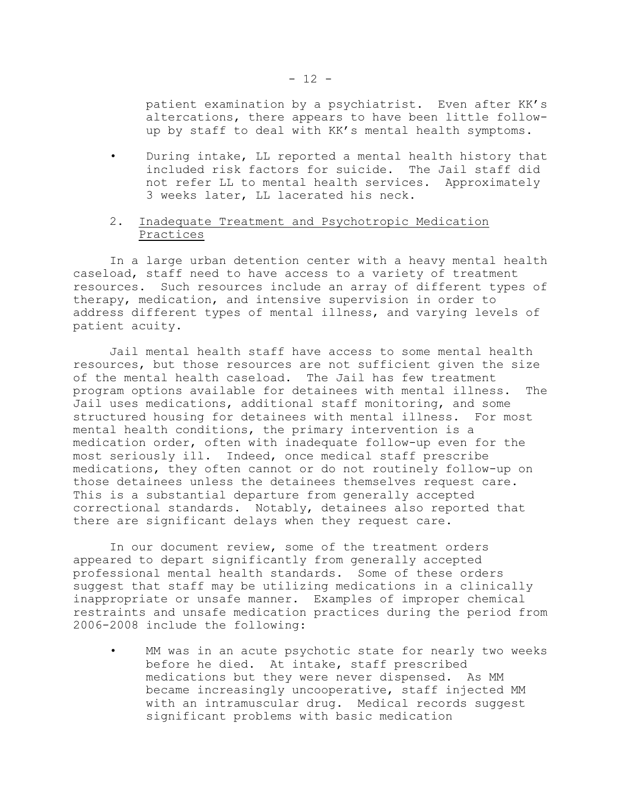patient examination by a psychiatrist. Even after KK's altercations, there appears to have been little follow up by staff to deal with KK's mental health symptoms.

• During intake, LL reported a mental health history that included risk factors for suicide. The Jail staff did not refer LL to mental health services. Approximately 3 weeks later, LL lacerated his neck.

## 2. Inadequate Treatment and Psychotropic Medication Practices

In a large urban detention center with a heavy mental health caseload, staff need to have access to a variety of treatment resources. Such resources include an array of different types of therapy, medication, and intensive supervision in order to address different types of mental illness, and varying levels of patient acuity.

Jail mental health staff have access to some mental health resources, but those resources are not sufficient given the size of the mental health caseload. The Jail has few treatment program options available for detainees with mental illness. The Jail uses medications, additional staff monitoring, and some structured housing for detainees with mental illness. For most mental health conditions, the primary intervention is a medication order, often with inadequate follow-up even for the most seriously ill. Indeed, once medical staff prescribe medications, they often cannot or do not routinely follow-up on those detainees unless the detainees themselves request care. This is a substantial departure from generally accepted correctional standards. Notably, detainees also reported that there are significant delays when they request care.

In our document review, some of the treatment orders appeared to depart significantly from generally accepted professional mental health standards. Some of these orders suggest that staff may be utilizing medications in a clinically inappropriate or unsafe manner. Examples of improper chemical restraints and unsafe medication practices during the period from 2006-2008 include the following:

• MM was in an acute psychotic state for nearly two weeks before he died. At intake, staff prescribed medications but they were never dispensed. As MM became increasingly uncooperative, staff injected MM with an intramuscular drug. Medical records suggest significant problems with basic medication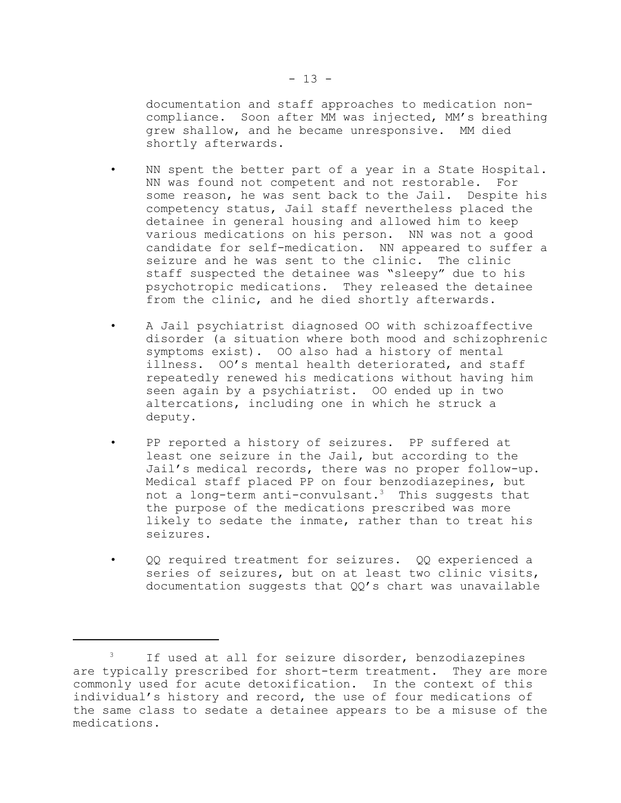documentation and staff approaches to medication noncompliance. Soon after MM was injected, MM's breathing grew shallow, and he became unresponsive. MM died shortly afterwards.

- NN spent the better part of a year in a State Hospital. NN was found not competent and not restorable. For some reason, he was sent back to the Jail. Despite his competency status, Jail staff nevertheless placed the detainee in general housing and allowed him to keep various medications on his person. NN was not a good candidate for self-medication. NN appeared to suffer a seizure and he was sent to the clinic. The clinic staff suspected the detainee was "sleepy" due to his psychotropic medications. They released the detainee from the clinic, and he died shortly afterwards.
- • A Jail psychiatrist diagnosed OO with schizoaffective disorder (a situation where both mood and schizophrenic symptoms exist). OO also had a history of mental illness. OO's mental health deteriorated, and staff repeatedly renewed his medications without having him seen again by a psychiatrist. OO ended up in two altercations, including one in which he struck a deputy.
- PP reported a history of seizures. PP suffered at least one seizure in the Jail, but according to the Jail's medical records, there was no proper follow-up. Medical staff placed PP on four benzodiazepines, but not a long-term anti-convulsant.<sup>3</sup> This suggests that the purpose of the medications prescribed was more likely to sedate the inmate, rather than to treat his seizures.
- • QQ required treatment for seizures. QQ experienced a series of seizures, but on at least two clinic visits, documentation suggests that  $QQ's$  chart was unavailable

<sup>3</sup>  If used at all for seizure disorder, benzodiazepines are typically prescribed for short-term treatment. They are more commonly used for acute detoxification. In the context of this individual's history and record, the use of four medications of the same class to sedate a detainee appears to be a misuse of the medications.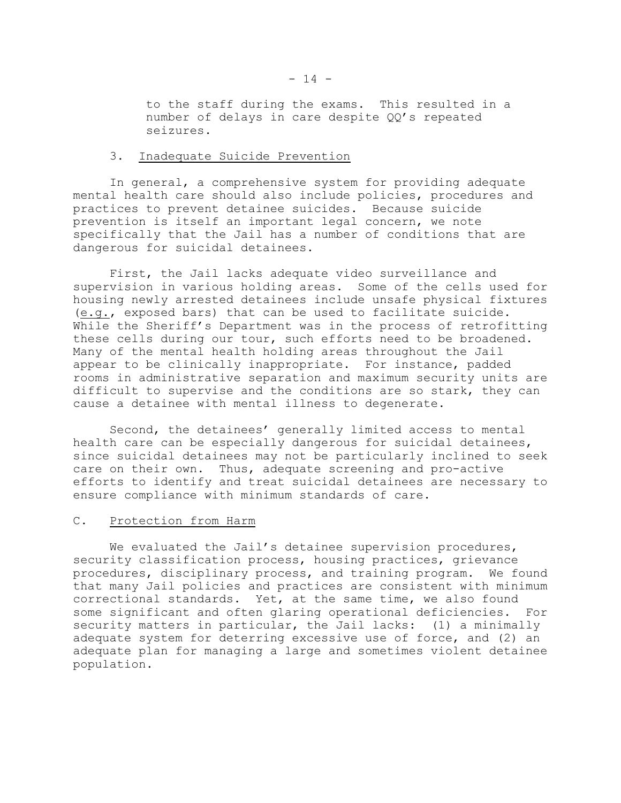to the staff during the exams. This resulted in a number of delays in care despite QQ's repeated seizures.

### 3. Inadequate Suicide Prevention

In general, a comprehensive system for providing adequate mental health care should also include policies, procedures and practices to prevent detainee suicides. Because suicide prevention is itself an important legal concern, we note specifically that the Jail has a number of conditions that are dangerous for suicidal detainees.

First, the Jail lacks adequate video surveillance and supervision in various holding areas. Some of the cells used for housing newly arrested detainees include unsafe physical fixtures (e.g., exposed bars) that can be used to facilitate suicide. While the Sheriff's Department was in the process of retrofitting these cells during our tour, such efforts need to be broadened. Many of the mental health holding areas throughout the Jail appear to be clinically inappropriate. For instance, padded rooms in administrative separation and maximum security units are difficult to supervise and the conditions are so stark, they can cause a detainee with mental illness to degenerate.

Second, the detainees' generally limited access to mental health care can be especially dangerous for suicidal detainees, since suicidal detainees may not be particularly inclined to seek care on their own. Thus, adequate screening and pro-active efforts to identify and treat suicidal detainees are necessary to ensure compliance with minimum standards of care.

## C. Protection from Harm

We evaluated the Jail's detainee supervision procedures, security classification process, housing practices, grievance procedures, disciplinary process, and training program. We found that many Jail policies and practices are consistent with minimum correctional standards. Yet, at the same time, we also found some significant and often glaring operational deficiencies. For security matters in particular, the Jail lacks: (1) a minimally adequate system for deterring excessive use of force, and (2) an adequate plan for managing a large and sometimes violent detainee population.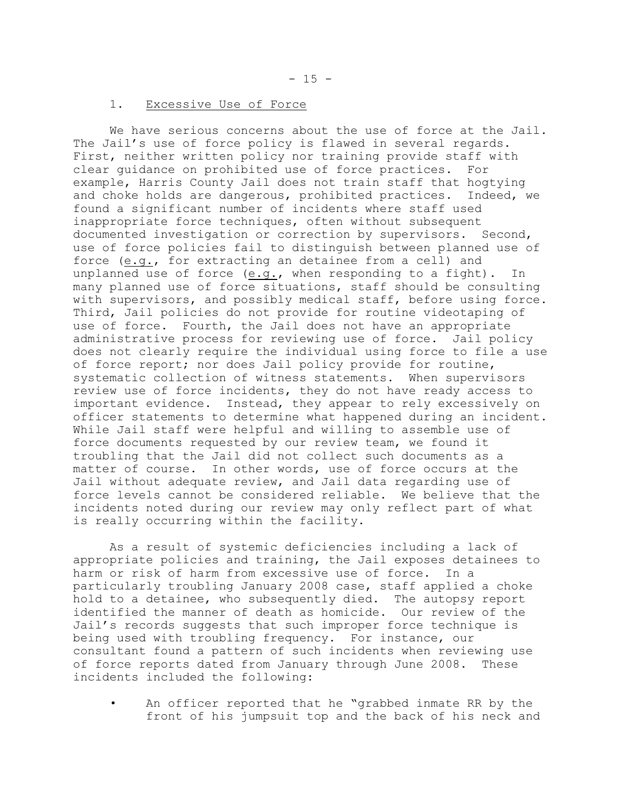## 1. Excessive Use of Force

We have serious concerns about the use of force at the Jail. The Jail's use of force policy is flawed in several regards. First, neither written policy nor training provide staff with clear guidance on prohibited use of force practices. For example, Harris County Jail does not train staff that hogtying and choke holds are dangerous, prohibited practices. Indeed, we found a significant number of incidents where staff used inappropriate force techniques, often without subsequent documented investigation or correction by supervisors. Second, use of force policies fail to distinguish between planned use of force (e.g., for extracting an detainee from a cell) and unplanned use of force (e.g., when responding to a fight). In many planned use of force situations, staff should be consulting with supervisors, and possibly medical staff, before using force. Third, Jail policies do not provide for routine videotaping of use of force. Fourth, the Jail does not have an appropriate administrative process for reviewing use of force. Jail policy does not clearly require the individual using force to file a use of force report; nor does Jail policy provide for routine, systematic collection of witness statements. When supervisors review use of force incidents, they do not have ready access to important evidence. Instead, they appear to rely excessively on officer statements to determine what happened during an incident. While Jail staff were helpful and willing to assemble use of force documents requested by our review team, we found it troubling that the Jail did not collect such documents as a matter of course. In other words, use of force occurs at the Jail without adequate review, and Jail data regarding use of force levels cannot be considered reliable. We believe that the incidents noted during our review may only reflect part of what is really occurring within the facility.

As a result of systemic deficiencies including a lack of appropriate policies and training, the Jail exposes detainees to harm or risk of harm from excessive use of force. In a particularly troubling January 2008 case, staff applied a choke hold to a detainee, who subsequently died. The autopsy report identified the manner of death as homicide. Our review of the Jail's records suggests that such improper force technique is being used with troubling frequency. For instance, our consultant found a pattern of such incidents when reviewing use of force reports dated from January through June 2008. These incidents included the following:

• An officer reported that he "grabbed inmate RR by the front of his jumpsuit top and the back of his neck and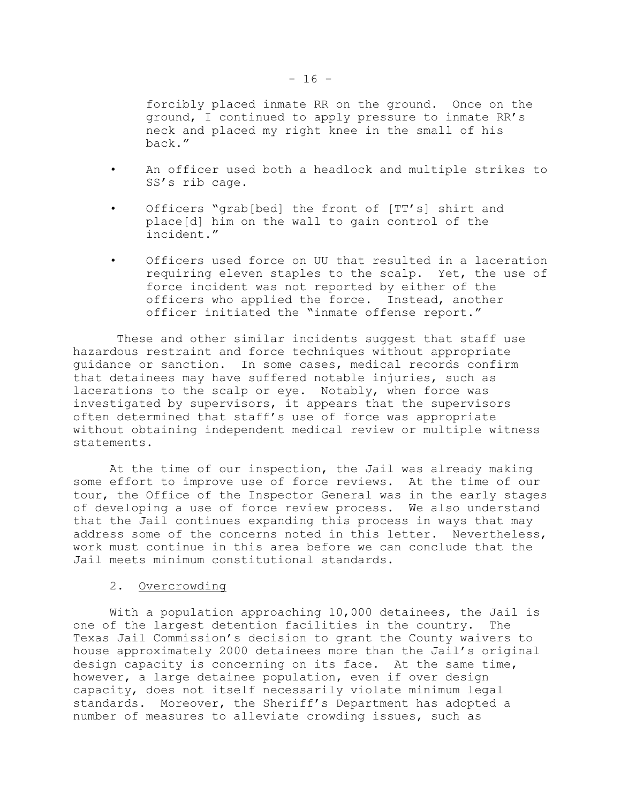forcibly placed inmate RR on the ground. Once on the ground, I continued to apply pressure to inmate RR's neck and placed my right knee in the small of his back."

- • An officer used both a headlock and multiple strikes to SS's rib cage.
- • Officers "grab[bed] the front of [TT's] shirt and place[d] him on the wall to gain control of the incident."
- Officers used force on UU that resulted in a laceration requiring eleven staples to the scalp. Yet, the use of force incident was not reported by either of the officers who applied the force. Instead, another officer initiated the "inmate offense report."

 These and other similar incidents suggest that staff use hazardous restraint and force techniques without appropriate guidance or sanction. In some cases, medical records confirm that detainees may have suffered notable injuries, such as lacerations to the scalp or eye. Notably, when force was investigated by supervisors, it appears that the supervisors often determined that staff's use of force was appropriate without obtaining independent medical review or multiple witness statements.

At the time of our inspection, the Jail was already making some effort to improve use of force reviews. At the time of our tour, the Office of the Inspector General was in the early stages of developing a use of force review process. We also understand that the Jail continues expanding this process in ways that may address some of the concerns noted in this letter. Nevertheless, work must continue in this area before we can conclude that the Jail meets minimum constitutional standards.

#### 2. Overcrowding

With a population approaching 10,000 detainees, the Jail is one of the largest detention facilities in the country. The Texas Jail Commission's decision to grant the County waivers to house approximately 2000 detainees more than the Jail's original design capacity is concerning on its face. At the same time, however, a large detainee population, even if over design capacity, does not itself necessarily violate minimum legal standards. Moreover, the Sheriff's Department has adopted a number of measures to alleviate crowding issues, such as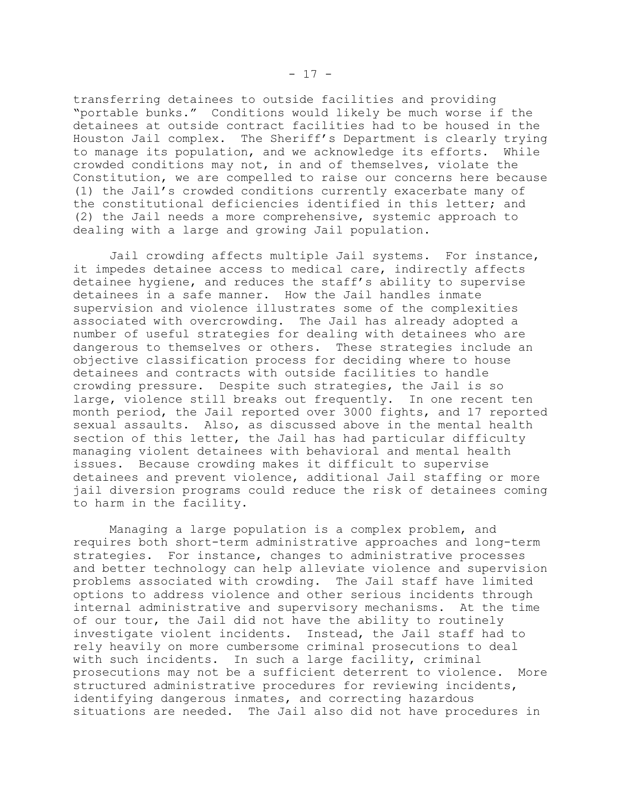transferring detainees to outside facilities and providing "portable bunks." Conditions would likely be much worse if the detainees at outside contract facilities had to be housed in the Houston Jail complex. The Sheriff's Department is clearly trying to manage its population, and we acknowledge its efforts. While crowded conditions may not, in and of themselves, violate the Constitution, we are compelled to raise our concerns here because (1) the Jail's crowded conditions currently exacerbate many of the constitutional deficiencies identified in this letter; and (2) the Jail needs a more comprehensive, systemic approach to dealing with a large and growing Jail population.

Jail crowding affects multiple Jail systems. For instance, it impedes detainee access to medical care, indirectly affects detainee hygiene, and reduces the staff's ability to supervise detainees in a safe manner. How the Jail handles inmate supervision and violence illustrates some of the complexities associated with overcrowding. The Jail has already adopted a number of useful strategies for dealing with detainees who are dangerous to themselves or others. These strategies include an objective classification process for deciding where to house detainees and contracts with outside facilities to handle crowding pressure. Despite such strategies, the Jail is so large, violence still breaks out frequently. In one recent ten month period, the Jail reported over 3000 fights, and 17 reported sexual assaults. Also, as discussed above in the mental health section of this letter, the Jail has had particular difficulty managing violent detainees with behavioral and mental health issues. Because crowding makes it difficult to supervise detainees and prevent violence, additional Jail staffing or more jail diversion programs could reduce the risk of detainees coming to harm in the facility.

Managing a large population is a complex problem, and requires both short-term administrative approaches and long-term strategies. For instance, changes to administrative processes and better technology can help alleviate violence and supervision problems associated with crowding. The Jail staff have limited options to address violence and other serious incidents through internal administrative and supervisory mechanisms. At the time of our tour, the Jail did not have the ability to routinely investigate violent incidents. Instead, the Jail staff had to rely heavily on more cumbersome criminal prosecutions to deal with such incidents. In such a large facility, criminal prosecutions may not be a sufficient deterrent to violence. More structured administrative procedures for reviewing incidents, identifying dangerous inmates, and correcting hazardous situations are needed. The Jail also did not have procedures in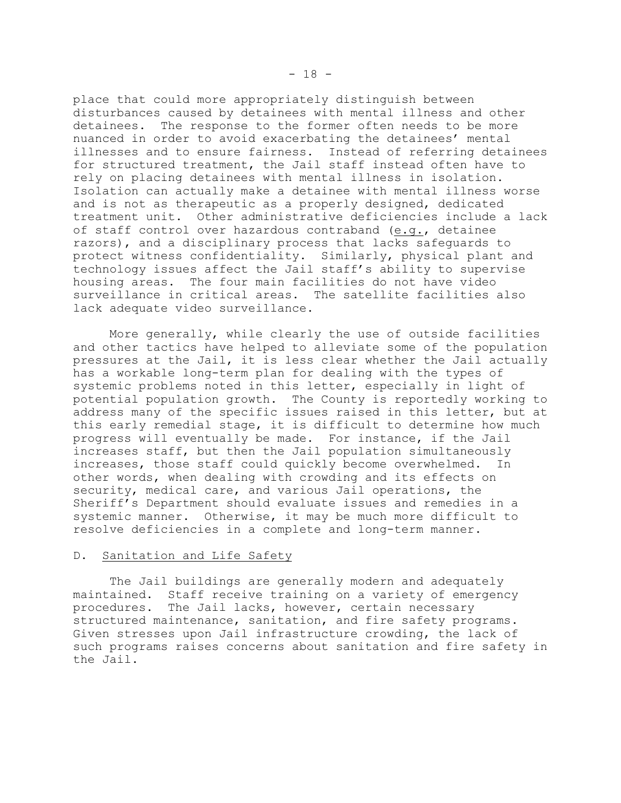place that could more appropriately distinguish between disturbances caused by detainees with mental illness and other detainees. The response to the former often needs to be more nuanced in order to avoid exacerbating the detainees' mental illnesses and to ensure fairness. Instead of referring detainees for structured treatment, the Jail staff instead often have to rely on placing detainees with mental illness in isolation. Isolation can actually make a detainee with mental illness worse and is not as therapeutic as a properly designed, dedicated treatment unit. Other administrative deficiencies include a lack of staff control over hazardous contraband (e.g., detainee razors), and a disciplinary process that lacks safeguards to protect witness confidentiality. Similarly, physical plant and technology issues affect the Jail staff's ability to supervise housing areas. The four main facilities do not have video surveillance in critical areas. The satellite facilities also lack adequate video surveillance.

More generally, while clearly the use of outside facilities and other tactics have helped to alleviate some of the population pressures at the Jail, it is less clear whether the Jail actually has a workable long-term plan for dealing with the types of systemic problems noted in this letter, especially in light of potential population growth. The County is reportedly working to address many of the specific issues raised in this letter, but at this early remedial stage, it is difficult to determine how much progress will eventually be made. For instance, if the Jail increases staff, but then the Jail population simultaneously increases, those staff could quickly become overwhelmed. In other words, when dealing with crowding and its effects on security, medical care, and various Jail operations, the Sheriff's Department should evaluate issues and remedies in a systemic manner. Otherwise, it may be much more difficult to resolve deficiencies in a complete and long-term manner.

#### D. Sanitation and Life Safety

The Jail buildings are generally modern and adequately maintained. Staff receive training on a variety of emergency procedures. The Jail lacks, however, certain necessary structured maintenance, sanitation, and fire safety programs. Given stresses upon Jail infrastructure crowding, the lack of such programs raises concerns about sanitation and fire safety in the Jail.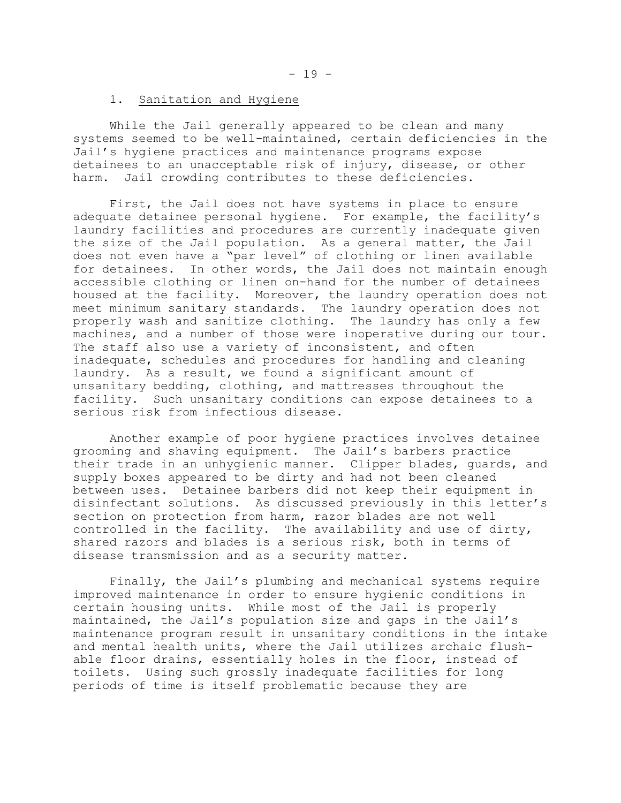## 1. Sanitation and Hygiene

While the Jail generally appeared to be clean and many systems seemed to be well-maintained, certain deficiencies in the Jail's hygiene practices and maintenance programs expose detainees to an unacceptable risk of injury, disease, or other harm. Jail crowding contributes to these deficiencies.

First, the Jail does not have systems in place to ensure adequate detainee personal hygiene. For example, the facility's laundry facilities and procedures are currently inadequate given the size of the Jail population. As a general matter, the Jail does not even have a "par level" of clothing or linen available for detainees. In other words, the Jail does not maintain enough accessible clothing or linen on-hand for the number of detainees housed at the facility. Moreover, the laundry operation does not meet minimum sanitary standards. The laundry operation does not properly wash and sanitize clothing. The laundry has only a few machines, and a number of those were inoperative during our tour. The staff also use a variety of inconsistent, and often inadequate, schedules and procedures for handling and cleaning laundry. As a result, we found a significant amount of unsanitary bedding, clothing, and mattresses throughout the facility. Such unsanitary conditions can expose detainees to a serious risk from infectious disease.

Another example of poor hygiene practices involves detainee grooming and shaving equipment. The Jail's barbers practice their trade in an unhygienic manner. Clipper blades, guards, and supply boxes appeared to be dirty and had not been cleaned between uses. Detainee barbers did not keep their equipment in disinfectant solutions. As discussed previously in this letter's section on protection from harm, razor blades are not well controlled in the facility. The availability and use of dirty, shared razors and blades is a serious risk, both in terms of disease transmission and as a security matter.

Finally, the Jail's plumbing and mechanical systems require improved maintenance in order to ensure hygienic conditions in certain housing units. While most of the Jail is properly maintained, the Jail's population size and gaps in the Jail's maintenance program result in unsanitary conditions in the intake and mental health units, where the Jail utilizes archaic flush able floor drains, essentially holes in the floor, instead of toilets. Using such grossly inadequate facilities for long periods of time is itself problematic because they are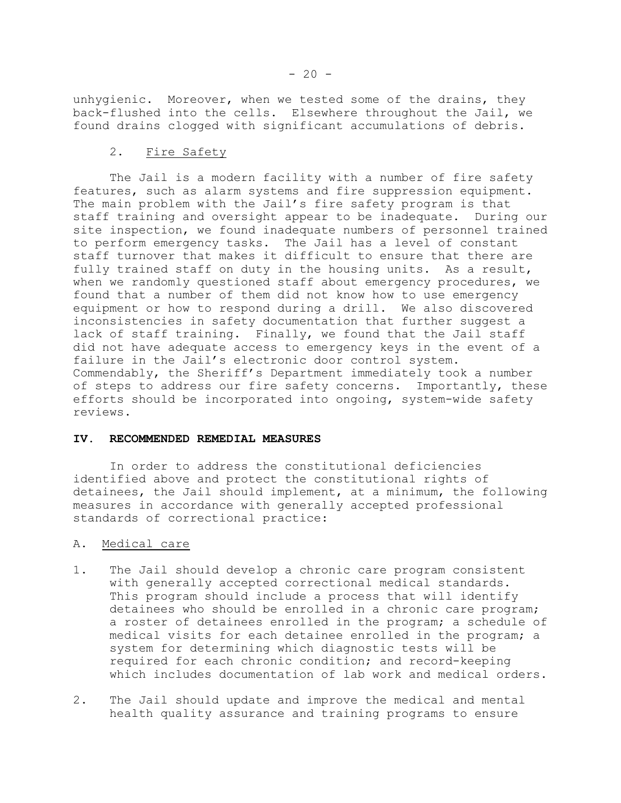unhygienic. Moreover, when we tested some of the drains, they back-flushed into the cells. Elsewhere throughout the Jail, we found drains clogged with significant accumulations of debris.

### 2. Fire Safety

The Jail is a modern facility with a number of fire safety features, such as alarm systems and fire suppression equipment. The main problem with the Jail's fire safety program is that staff training and oversight appear to be inadequate. During our site inspection, we found inadequate numbers of personnel trained to perform emergency tasks. The Jail has a level of constant staff turnover that makes it difficult to ensure that there are fully trained staff on duty in the housing units. As a result, when we randomly questioned staff about emergency procedures, we found that a number of them did not know how to use emergency equipment or how to respond during a drill. We also discovered inconsistencies in safety documentation that further suggest a lack of staff training. Finally, we found that the Jail staff did not have adequate access to emergency keys in the event of a failure in the Jail's electronic door control system. Commendably, the Sheriff's Department immediately took a number of steps to address our fire safety concerns. Importantly, these efforts should be incorporated into ongoing, system-wide safety reviews.

#### **IV. RECOMMENDED REMEDIAL MEASURES**

In order to address the constitutional deficiencies identified above and protect the constitutional rights of detainees, the Jail should implement, at a minimum, the following measures in accordance with generally accepted professional standards of correctional practice:

## A. Medical care

- 1. The Jail should develop a chronic care program consistent with generally accepted correctional medical standards. This program should include a process that will identify detainees who should be enrolled in a chronic care program; a roster of detainees enrolled in the program; a schedule of medical visits for each detainee enrolled in the program; a system for determining which diagnostic tests will be required for each chronic condition; and record-keeping which includes documentation of lab work and medical orders.
- 2. The Jail should update and improve the medical and mental health quality assurance and training programs to ensure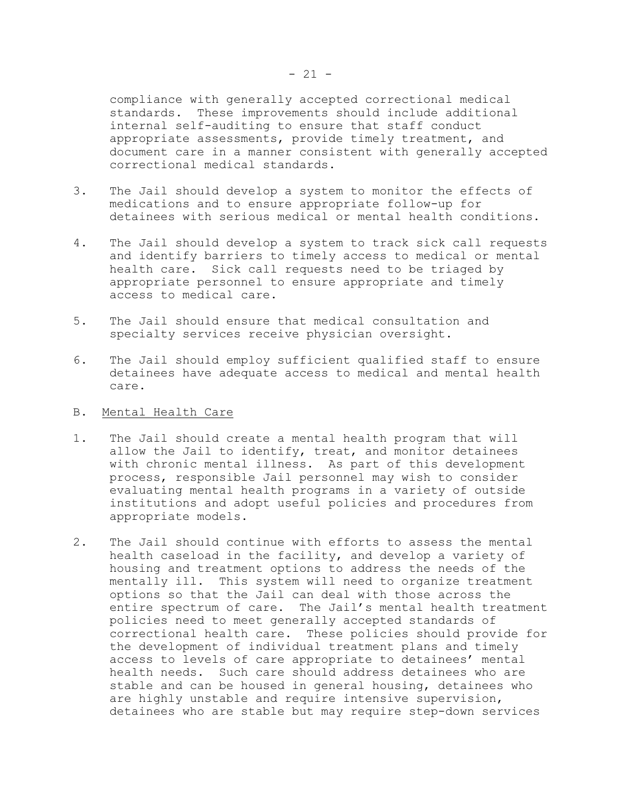compliance with generally accepted correctional medical standards. These improvements should include additional internal self-auditing to ensure that staff conduct appropriate assessments, provide timely treatment, and document care in a manner consistent with generally accepted correctional medical standards.

- 3. The Jail should develop a system to monitor the effects of medications and to ensure appropriate follow-up for detainees with serious medical or mental health conditions.
- 4. The Jail should develop a system to track sick call requests and identify barriers to timely access to medical or mental health care. Sick call requests need to be triaged by appropriate personnel to ensure appropriate and timely access to medical care.
- 5. The Jail should ensure that medical consultation and specialty services receive physician oversight.
- 6. The Jail should employ sufficient qualified staff to ensure detainees have adequate access to medical and mental health care.
- B. Mental Health Care
- 1. The Jail should create a mental health program that will allow the Jail to identify, treat, and monitor detainees with chronic mental illness. As part of this development process, responsible Jail personnel may wish to consider evaluating mental health programs in a variety of outside institutions and adopt useful policies and procedures from appropriate models.
- 2. The Jail should continue with efforts to assess the mental health caseload in the facility, and develop a variety of housing and treatment options to address the needs of the mentally ill. This system will need to organize treatment options so that the Jail can deal with those across the entire spectrum of care. The Jail's mental health treatment policies need to meet generally accepted standards of correctional health care. These policies should provide for the development of individual treatment plans and timely access to levels of care appropriate to detainees' mental health needs. Such care should address detainees who are stable and can be housed in general housing, detainees who are highly unstable and require intensive supervision, detainees who are stable but may require step-down services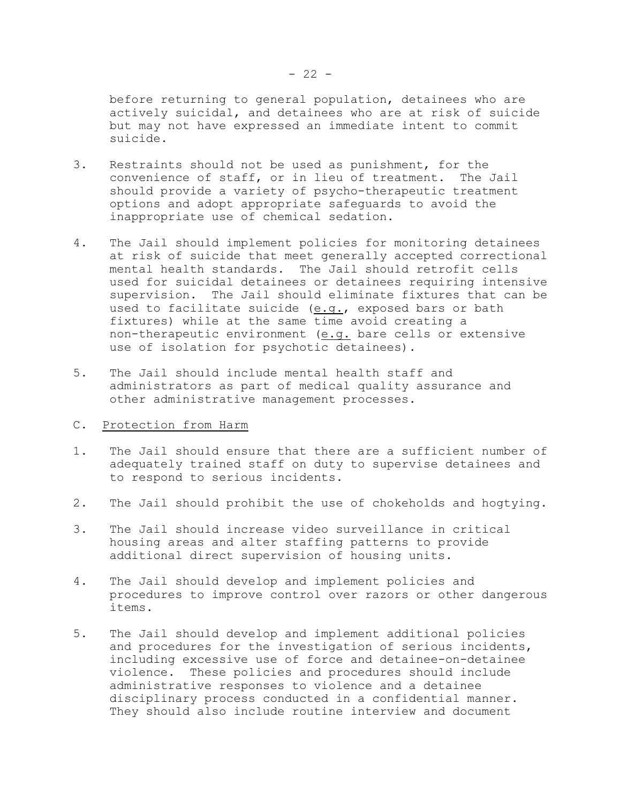before returning to general population, detainees who are actively suicidal, and detainees who are at risk of suicide but may not have expressed an immediate intent to commit suicide.

- 3. Restraints should not be used as punishment, for the convenience of staff, or in lieu of treatment. The Jail should provide a variety of psycho-therapeutic treatment options and adopt appropriate safeguards to avoid the inappropriate use of chemical sedation.
- 4. The Jail should implement policies for monitoring detainees at risk of suicide that meet generally accepted correctional mental health standards. The Jail should retrofit cells used for suicidal detainees or detainees requiring intensive supervision. The Jail should eliminate fixtures that can be used to facilitate suicide (e.g., exposed bars or bath fixtures) while at the same time avoid creating a non-therapeutic environment (e.g. bare cells or extensive use of isolation for psychotic detainees).
- 5. The Jail should include mental health staff and administrators as part of medical quality assurance and other administrative management processes.
- C. Protection from Harm
- 1. The Jail should ensure that there are a sufficient number of adequately trained staff on duty to supervise detainees and to respond to serious incidents.
- 2. The Jail should prohibit the use of chokeholds and hogtying.
- 3. The Jail should increase video surveillance in critical housing areas and alter staffing patterns to provide additional direct supervision of housing units.
- 4. The Jail should develop and implement policies and procedures to improve control over razors or other dangerous items.
- 5. The Jail should develop and implement additional policies and procedures for the investigation of serious incidents, including excessive use of force and detainee-on-detainee violence. These policies and procedures should include administrative responses to violence and a detainee disciplinary process conducted in a confidential manner. They should also include routine interview and document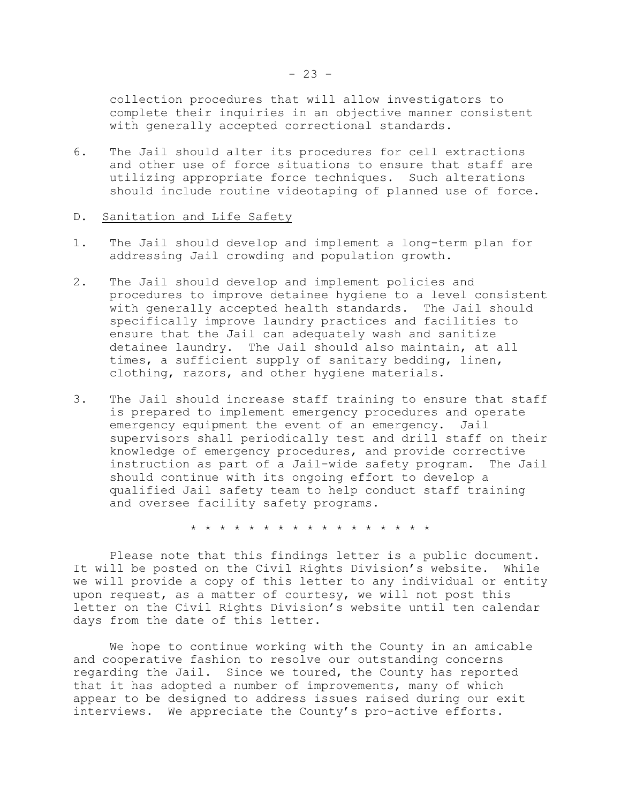collection procedures that will allow investigators to complete their inquiries in an objective manner consistent with generally accepted correctional standards.

6. The Jail should alter its procedures for cell extractions and other use of force situations to ensure that staff are utilizing appropriate force techniques. Such alterations should include routine videotaping of planned use of force.

#### D. Sanitation and Life Safety

- 1. The Jail should develop and implement a long-term plan for addressing Jail crowding and population growth.
- 2. The Jail should develop and implement policies and procedures to improve detainee hygiene to a level consistent with generally accepted health standards. The Jail should specifically improve laundry practices and facilities to ensure that the Jail can adequately wash and sanitize detainee laundry. The Jail should also maintain, at all times, a sufficient supply of sanitary bedding, linen, clothing, razors, and other hygiene materials.
- 3. The Jail should increase staff training to ensure that staff is prepared to implement emergency procedures and operate emergency equipment the event of an emergency. Jail supervisors shall periodically test and drill staff on their knowledge of emergency procedures, and provide corrective instruction as part of a Jail-wide safety program. The Jail should continue with its ongoing effort to develop a qualified Jail safety team to help conduct staff training and oversee facility safety programs.

\* \* \* \* \* \* \* \* \* \* \* \* \* \* \* \* \*

Please note that this findings letter is a public document. It will be posted on the Civil Rights Division's website. While we will provide a copy of this letter to any individual or entity upon request, as a matter of courtesy, we will not post this letter on the Civil Rights Division's website until ten calendar days from the date of this letter.

We hope to continue working with the County in an amicable and cooperative fashion to resolve our outstanding concerns regarding the Jail. Since we toured, the County has reported that it has adopted a number of improvements, many of which appear to be designed to address issues raised during our exit interviews. We appreciate the County's pro-active efforts.